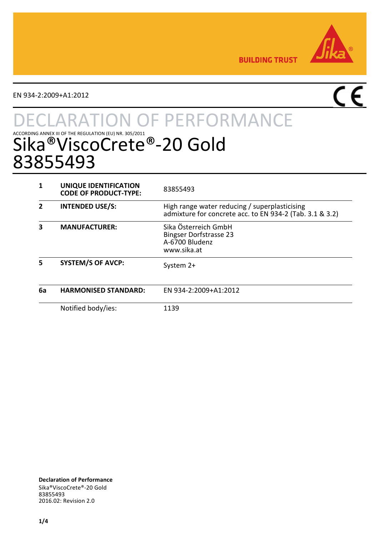

**BUILDING TRUST** 

EN 934-2:2009+A1:2012

# $\overline{\mathsf{CE}}$

# **TON OF PERFORMANCE** ACCORDING ANNEX III OF THE REGULATION (EU) NR. 305/2011<br>Sika®ViscoCrete®-20 Gold 83855493

|    | UNIQUE IDENTIFICATION<br><b>CODE OF PRODUCT-TYPE:</b> | 83855493                                                                                                  |
|----|-------------------------------------------------------|-----------------------------------------------------------------------------------------------------------|
|    | <b>INTENDED USE/S:</b>                                | High range water reducing / superplasticising<br>admixture for concrete acc. to EN 934-2 (Tab. 3.1 & 3.2) |
| з  | <b>MANUFACTURER:</b>                                  | Sika Österreich GmbH<br><b>Bingser Dorfstrasse 23</b><br>A-6700 Bludenz<br>www.sika.at                    |
| 5  | <b>SYSTEM/S OF AVCP:</b>                              | System 2+                                                                                                 |
| 6a | <b>HARMONISED STANDARD:</b>                           | FN 934-2:2009+A1:2012                                                                                     |
|    | Notified body/ies:                                    | 1139                                                                                                      |

**Declaration of Performance** Sika®ViscoCrete®-20 Gold 83855493 2016.02: Revision 2.0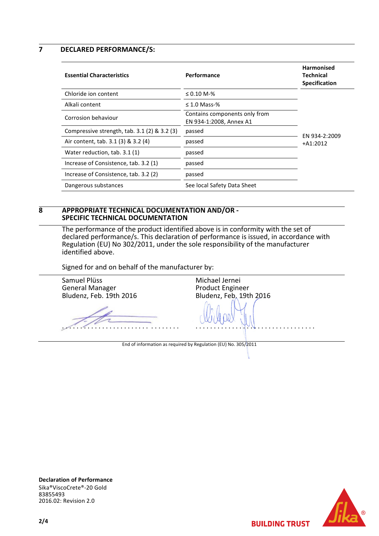**7 DECLARED PERFORMANCE/S:**

| <b>Essential Characteristics</b>                | Performance                                              | <b>Harmonised</b><br>Technical<br><b>Specification</b> |
|-------------------------------------------------|----------------------------------------------------------|--------------------------------------------------------|
| Chloride ion content                            | $\leq 0.10$ M-%                                          |                                                        |
| Alkali content                                  | $\leq$ 1.0 Mass-%                                        |                                                        |
| Corrosion behaviour                             | Contains components only from<br>EN 934-1:2008, Annex A1 | EN 934-2:2009                                          |
| Compressive strength, $tab. 3.1 (2) \& 3.2 (3)$ | passed                                                   |                                                        |
| Air content, tab. 3.1 (3) & 3.2 (4)             | passed                                                   | $+A1:2012$                                             |
| Water reduction, tab. 3.1 (1)                   | passed                                                   |                                                        |
| Increase of Consistence, tab. 3.2 (1)           | passed                                                   |                                                        |
| Increase of Consistence, tab. 3.2 (2)           | passed                                                   |                                                        |
| Dangerous substances                            | See local Safety Data Sheet                              |                                                        |

#### **8 APPROPRIATE TECHNICAL DOCUMENTATION AND/OR - SPECIFIC TECHNICAL DOCUMENTATION**

The performance of the product identified above is in conformity with the set of declared performance/s. This declaration of performance is issued, in accordance with Regulation (EU) No 302/2011, under the sole responsibility of the manufacturer identified above.

Signed for and on behalf of the manufacturer by:

Samuel Plüss General Manager Bludenz, Feb. 19th 2016 . . . . . . . . . . . . . . . . . . . . . . . . . . . . . . . . Michael Jernei Product Engineer Bludenz, Feb. 19th 2016 . . . . . . . . . . . . . . . . . . . . . . . . . . . . . . . . . End of information as required by Regulation (EU) No. 305/2011

**Declaration of Performance** Sika®ViscoCrete®-20 Gold 83855493 2016.02: Revision 2.0



**BUILDING TRUST**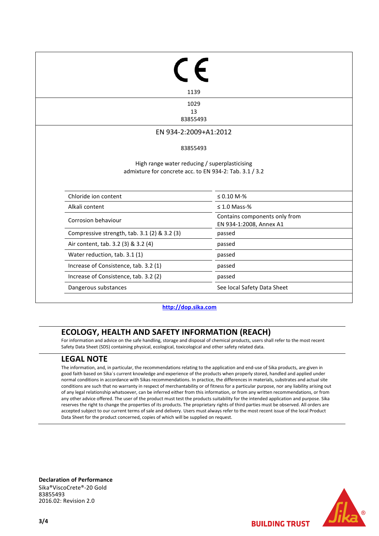| 1139                                                                                                     |                                                          |
|----------------------------------------------------------------------------------------------------------|----------------------------------------------------------|
| 1029                                                                                                     |                                                          |
| 13<br>83855493                                                                                           |                                                          |
|                                                                                                          |                                                          |
| EN 934-2:2009+A1:2012                                                                                    |                                                          |
| 83855493                                                                                                 |                                                          |
| High range water reducing / superplasticising<br>admixture for concrete acc. to EN 934-2: Tab. 3.1 / 3.2 |                                                          |
| Chloride ion content                                                                                     | $\leq 0.10 M - \%$                                       |
|                                                                                                          |                                                          |
| Alkali content                                                                                           | $\leq 1.0$ Mass-%                                        |
| Corrosion behaviour                                                                                      | Contains components only from<br>EN 934-1:2008, Annex A1 |
| Compressive strength, tab. 3.1 (2) & 3.2 (3)                                                             | passed                                                   |
| Air content, tab. 3.2 (3) & 3.2 (4)                                                                      | passed                                                   |
| Water reduction, tab. 3.1 (1)                                                                            | passed                                                   |
| Increase of Consistence, tab. 3.2 (1)                                                                    | passed                                                   |

**[http://dop.sika.com](http://dop.sika.com/)**

## **ECOLOGY, HEALTH AND SAFETY INFORMATION (REACH)**

For information and advice on the safe handling, storage and disposal of chemical products, users shall refer to the most recent Safety Data Sheet (SDS) containing physical, ecological, toxicological and other safety related data.

### **LEGAL NOTE**

The information, and, in particular, the recommendations relating to the application and end-use of Sika products, are given in good faith based on Sika´s current knowledge and experience of the products when properly stored, handled and applied under normal conditions in accordance with Sikas recommendations. In practice, the differences in materials, substrates and actual site conditions are such that no warranty in respect of merchantability or of fitness for a particular purpose, nor any liability arising out of any legal relationship whatsoever, can be inferred either from this information, or from any written recommendations, or from any other advice offered. The user of the product must test the products suitability for the intended application and purpose. Sika reserves the right to change the properties of its products. The proprietary rights of third parties must be observed. All orders are accepted subject to our current terms of sale and delivery. Users must always refer to the most recent issue of the local Product Data Sheet for the product concerned, copies of which will be supplied on request.

**Declaration of Performance** Sika®ViscoCrete®-20 Gold 83855493 2016.02: Revision 2.0



**BUILDING TRUST**